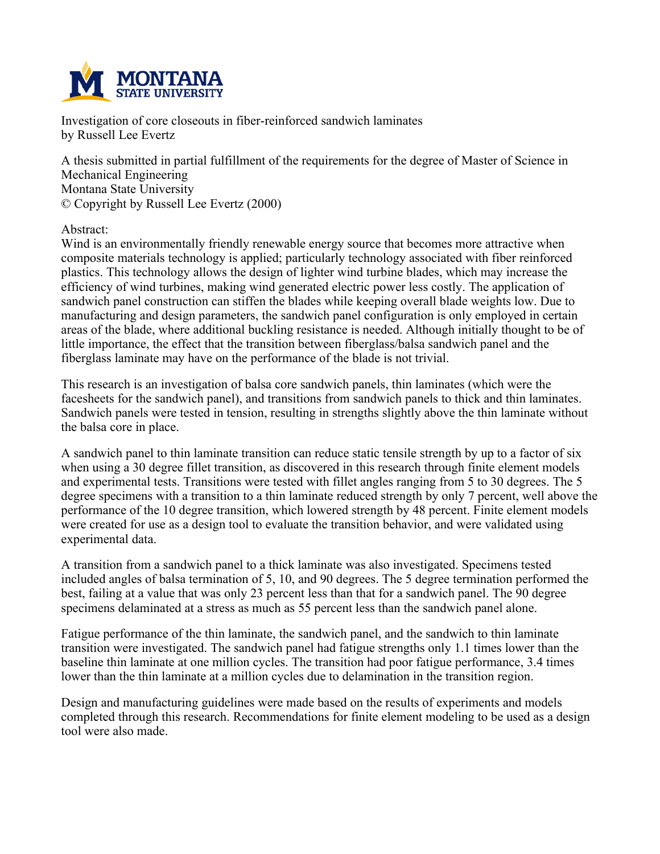

**Investigation of core closeouts in fiber-reinforced sandwich laminates by Russell Lee Evertz**

**A thesis submitted in partial fulfillment of the requirements for the degree of Master of Science in Mechanical Engineering Montana State University © Copyright by Russell Lee Evertz (2000)**

**Abstract:**

**Wind is an environmentally friendly renewable energy source that becomes more attractive when composite materials technology is applied; particularly technology associated with fiber reinforced plastics. This technology allows the design of lighter wind turbine blades, which may increase the efficiency of wind turbines, making wind generated electric power less costly. The application of sandwich panel construction can stiffen the blades while keeping overall blade weights low. Due to manufacturing and design parameters, the sandwich panel configuration is only employed in certain areas of the blade, where additional buckling resistance is needed. Although initially thought to be of little importance, the effect that the transition between fiberglass/balsa sandwich panel and the fiberglass laminate may have on the performance of the blade is not trivial.**

**This research is an investigation of balsa core sandwich panels, thin laminates (which were the facesheets for the sandwich panel), and transitions from sandwich panels to thick and thin laminates. Sandwich panels were tested in tension, resulting in strengths slightly above the thin laminate without the balsa core in place.**

A sandwich panel to thin laminate transition can reduce static tensile strength by up to a factor of six **when using a 30 degree fillet transition, as discovered in this research through finite element models and experimental tests. Transitions were tested with fillet angles ranging from 5 to 30 degrees. The 5** degree specimens with a transition to a thin laminate reduced strength by only 7 percent, well above the **performance of the 10 degree transition, which lowered strength by 48 percent. Finite element models were created for use as a design tool to evaluate the transition behavior, and were validated using experimental data.**

**A transition from a sandwich panel to a thick laminate was also investigated. Specimens tested included angles of balsa termination of 5, 10, and 90 degrees. The 5 degree termination performed the** best, failing at a value that was only 23 percent less than that for a sandwich panel. The 90 degree **specimens delaminated at a stress as much as 55 percent less than the sandwich panel alone.**

**Fatigue performance of the thin laminate, the sandwich panel, and the sandwich to thin laminate transition were investigated. The sandwich panel had fatigue strengths only 1.1 times lower than the baseline thin laminate at one million cycles. The transition had poor fatigue performance, 3.4 times lower than the thin laminate at a million cycles due to delamination in the transition region.**

**Design and manufacturing guidelines were made based on the results of experiments and models completed through this research. Recommendations for finite element modeling to be used as a design tool were also made.**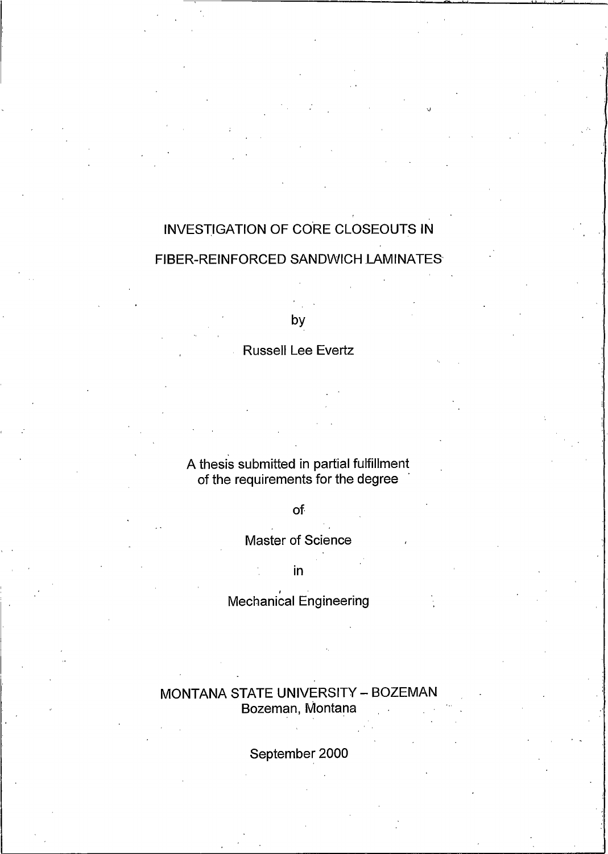# INVESTIGATION OF CORE CLOSEOUTS IN FIBER-REINFORCED SANDWICH LAMINATES

by

### **Russell Lee Evertz**

# A thesis submitted in partial fulfillment<br>of the requirements for the degree

### of

### **Master of Science**

 $\mathsf{in}$ 

### Mechanical Engineering

### MONTANA STATE UNIVERSITY - BOZEMAN Bozeman, Montana

### September 2000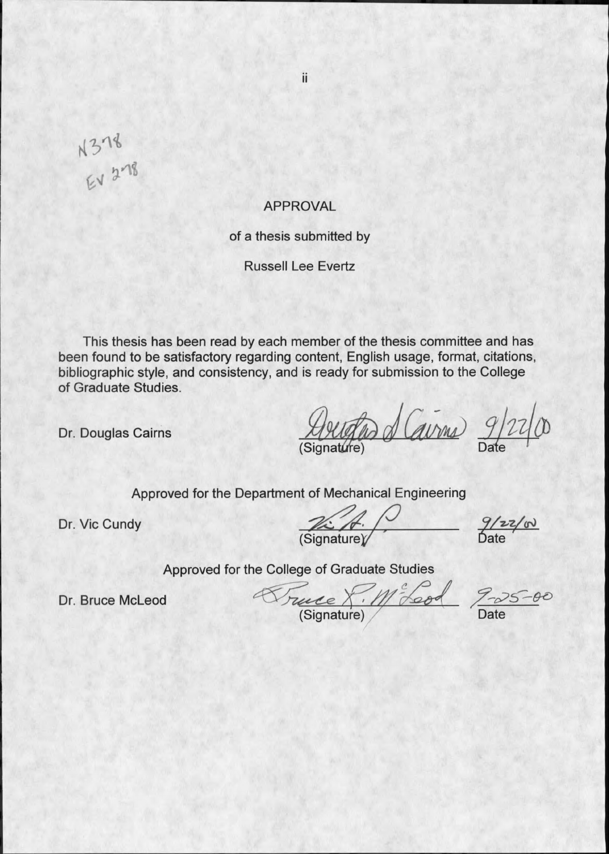$N378$ <br>EV 278

### **APPROVAL**

ii

of a thesis submitted by

**Russell Lee Evertz** 

This thesis has been read by each member of the thesis committee and has been found to be satisfactory regarding content, English usage, format, citations, bibliographic style, and consistency, and is ready for submission to the College of Graduate Studies.

Dr. Douglas Cairns

Arietas d'Cavrus 9/22/00

Approved for the Department of Mechanical Engineering

Dr. Vic Cundy

 $\frac{1}{\frac{1}{\frac{1}{1-\frac{1}{1-\frac{1}{1-\frac{1}{1-\frac{1}{1-\frac{1}{1-\frac{1}{1-\frac{1}{1-\frac{1}{1-\frac{1}{1-\frac{1}{1-\frac{1}{1-\frac{1}{1-\frac{1}{1-\frac{1}{1-\frac{1}{1-\frac{1}{1-\frac{1}{1-\frac{1}{1-\frac{1}{1-\frac{1}{1-\frac{1}{1-\frac{1}{1-\frac{1}{1-\frac{1}{1-\frac{1}{1-\frac{1}{1-\frac{1}{1-\frac{1}{1-\frac{1}{1-\frac{1}{1-\frac{1}{1-\frac{1}{1-\frac{1}{1-\frac{1}{1$ 

 $\frac{9}{22}$ 

Approved for the College of Graduate Studies

Dr. Bruce McLeod

Truce 8. M<sup>2</sup> Leod 9-25-00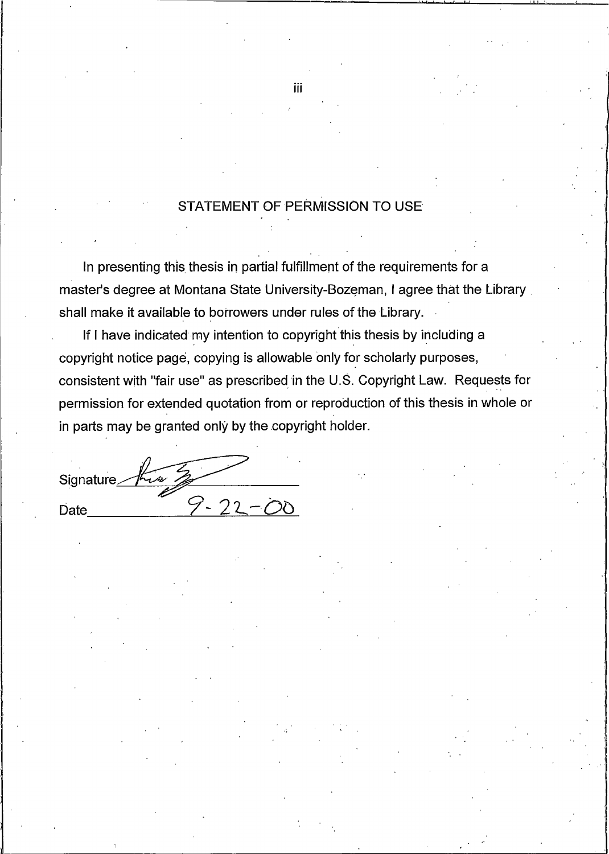### STATEMENT OF PERMISSION TO USE

In presenting this thesis in partial fulfillment of the requirements for a master's degree at Montana State University-Bozeman, I agree that the Library shall make it available to borrowers under rules of the Library.

If I have indicated my intention to copyright this thesis by including a copyright notice page, copying is allowable only for scholarly purposes, consistent with "fair use" as prescribed in the U.S. Copyright Law. Requests for permission for extended quotation from or reproduction of this thesis in whole or in parts may be granted only by the copyright holder.

Signature 9-22-00 Date

iii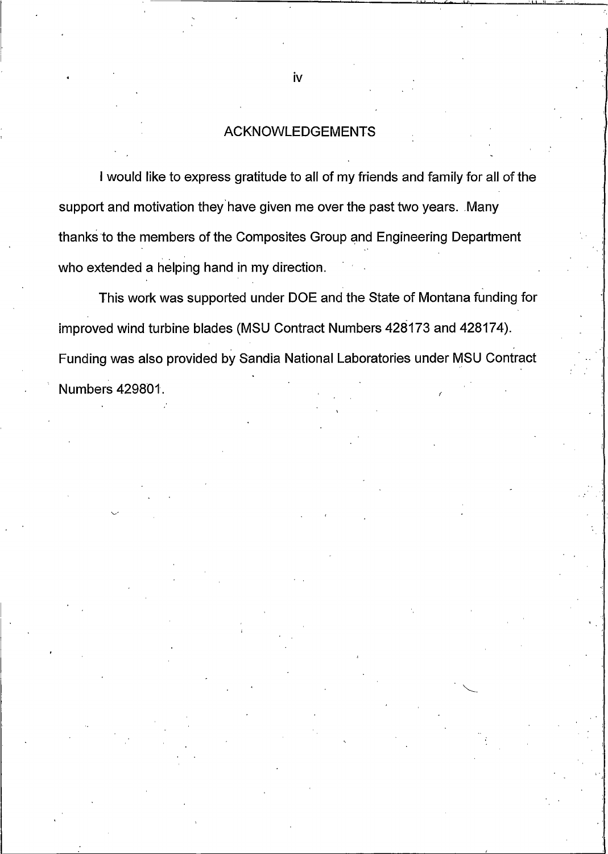### **ACKNOWLEDGEMENTS**

I would like to express gratitude to all of my friends and family for all of the support and motivation they have given me over the past two years. Many thanks to the members of the Composites Group and Engineering Department who extended a helping hand in my direction.

This work was supported under DOE and the State of Montana funding for improved wind turbine blades (MSU Contract Numbers 428173 and 428174). Funding was also provided by Sandia National Laboratories under MSU Contract Numbers 429801.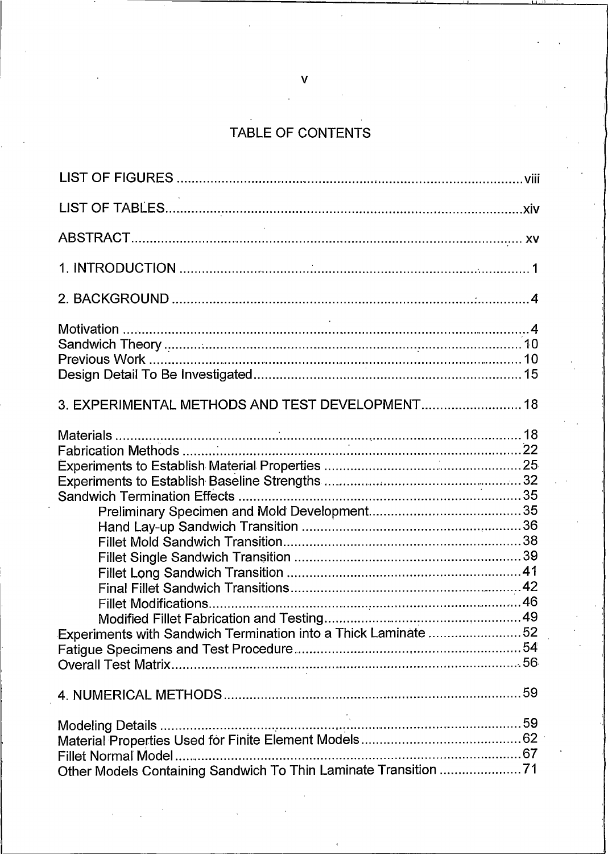# TABLE OF CONTENTS

| 3. EXPERIMENTAL METHODS AND TEST DEVELOPMENT 18                |
|----------------------------------------------------------------|
| Experiments with Sandwich Termination into a Thick Laminate 52 |
|                                                                |
|                                                                |
| Fillet Normal Model                                            |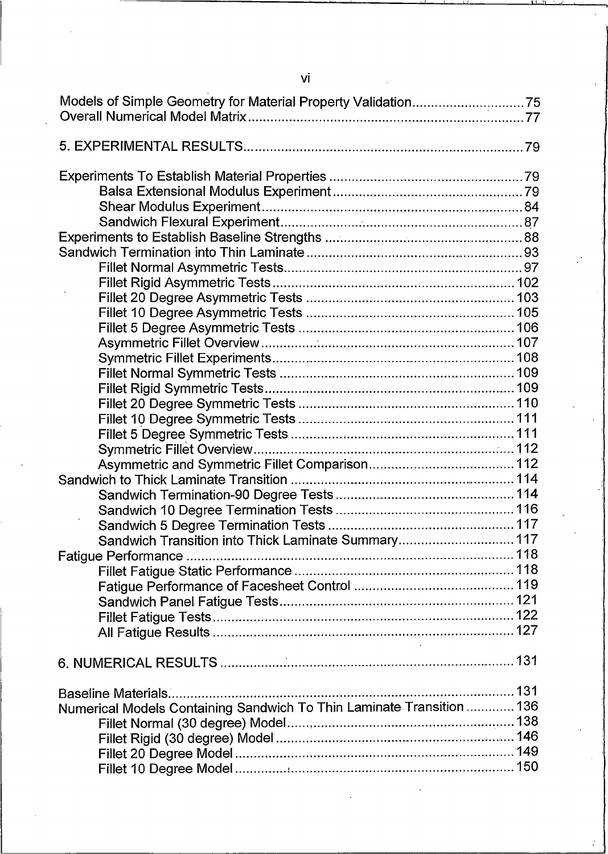| Sandwich Transition into Thick Laminate Summary117                    |  |
|-----------------------------------------------------------------------|--|
|                                                                       |  |
|                                                                       |  |
|                                                                       |  |
|                                                                       |  |
|                                                                       |  |
|                                                                       |  |
|                                                                       |  |
|                                                                       |  |
| Numerical Models Containing Sandwich To Thin Laminate Transition  136 |  |
|                                                                       |  |
|                                                                       |  |
|                                                                       |  |
|                                                                       |  |

 $\overline{\mathsf{vi}}$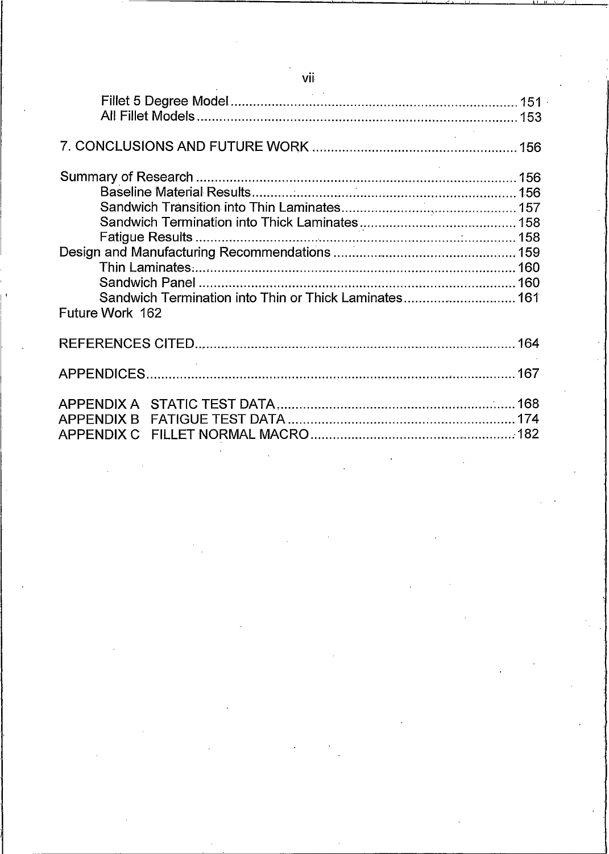| and the control of                                    |  |
|-------------------------------------------------------|--|
|                                                       |  |
|                                                       |  |
|                                                       |  |
|                                                       |  |
|                                                       |  |
|                                                       |  |
|                                                       |  |
|                                                       |  |
|                                                       |  |
|                                                       |  |
| Sandwich Termination into Thin or Thick Laminates 161 |  |
| Future Work 162                                       |  |
|                                                       |  |
|                                                       |  |
|                                                       |  |
|                                                       |  |
|                                                       |  |

vii

l.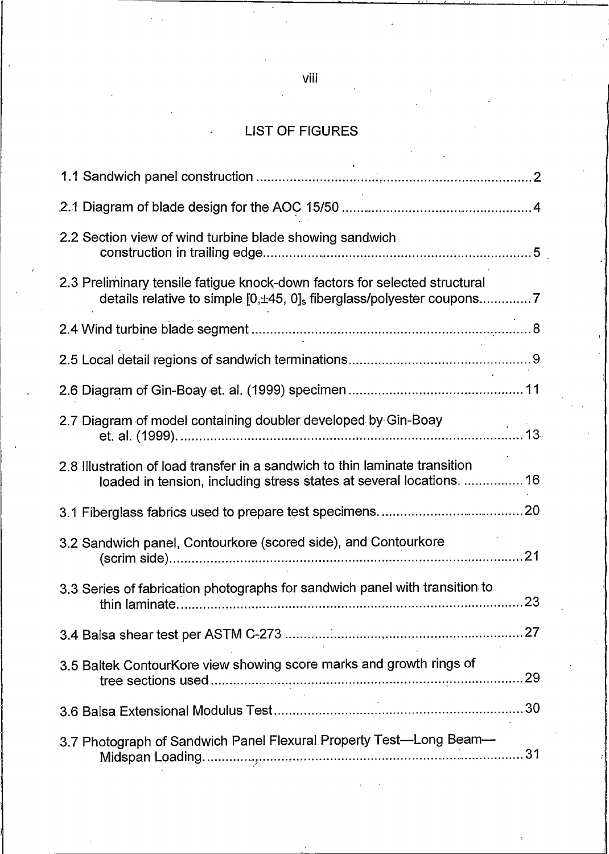## **LIST OF FIGURES**

| 2.2 Section view of wind turbine blade showing sandwich                                                                                             |  |
|-----------------------------------------------------------------------------------------------------------------------------------------------------|--|
| 2.3 Preliminary tensile fatigue knock-down factors for selected structural                                                                          |  |
|                                                                                                                                                     |  |
|                                                                                                                                                     |  |
|                                                                                                                                                     |  |
| 2.7 Diagram of model containing doubler developed by Gin-Boay                                                                                       |  |
| 2.8 Illustration of load transfer in a sandwich to thin laminate transition<br>loaded in tension, including stress states at several locations.  16 |  |
|                                                                                                                                                     |  |
| 3.2 Sandwich panel, Contourkore (scored side), and Contourkore                                                                                      |  |
| 3.3 Series of fabrication photographs for sandwich panel with transition to                                                                         |  |
|                                                                                                                                                     |  |
| 3.5 Baltek ContourKore view showing score marks and growth rings of                                                                                 |  |
|                                                                                                                                                     |  |
| 3.7 Photograph of Sandwich Panel Flexural Property Test-Long Beam-                                                                                  |  |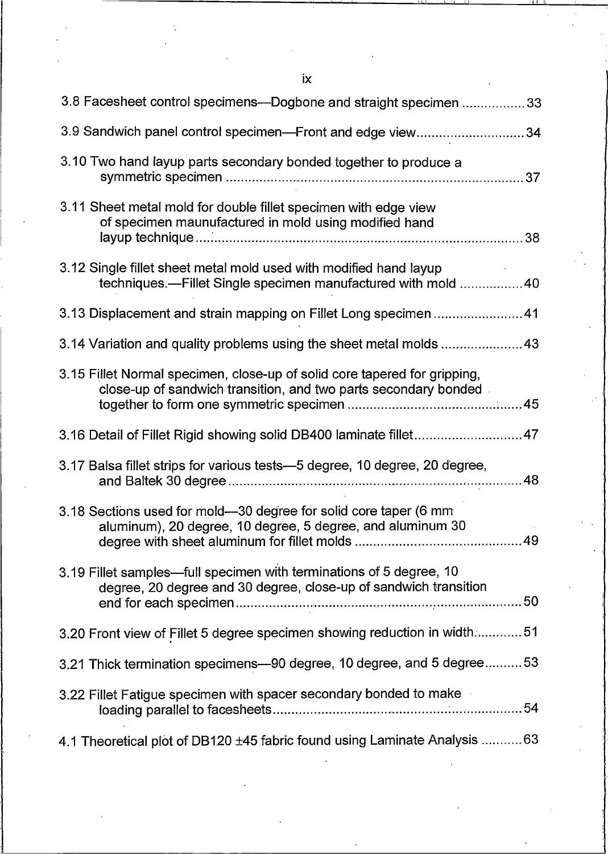$i\mathsf{x}$ 

| 3.8 Facesheet control specimens—Dogbone and straight specimen 33                                                                              |
|-----------------------------------------------------------------------------------------------------------------------------------------------|
| 3.9 Sandwich panel control specimen—Front and edge view34                                                                                     |
| 3.10 Two hand layup parts secondary bonded together to produce a                                                                              |
| 3.11 Sheet metal mold for double fillet specimen with edge view<br>of specimen maunufactured in mold using modified hand                      |
| 3.12 Single fillet sheet metal mold used with modified hand layup<br>techniques.—Fillet Single specimen manufactured with mold  40            |
| 3.13 Displacement and strain mapping on Fillet Long specimen  41                                                                              |
|                                                                                                                                               |
| 3.15 Fillet Normal specimen, close-up of solid core tapered for gripping,<br>close-up of sandwich transition, and two parts secondary bonded. |
|                                                                                                                                               |
| 3.16 Detail of Fillet Rigid showing solid DB400 laminate fillet47                                                                             |
| 3.17 Balsa fillet strips for various tests-5 degree, 10 degree, 20 degree,                                                                    |
| 3.18 Sections used for mold—30 degree for solid core taper (6 mm<br>aluminum), 20 degree, 10 degree, 5 degree, and aluminum 30                |
| 3.19 Fillet samples—full specimen with terminations of 5 degree, 10<br>degree, 20 degree and 30 degree, close-up of sandwich transition       |
| 3.20 Front view of Fillet 5 degree specimen showing reduction in width 51                                                                     |
| 3.21 Thick termination specimens-90 degree, 10 degree, and 5 degree53                                                                         |
| 3.22 Fillet Fatigue specimen with spacer secondary bonded to make                                                                             |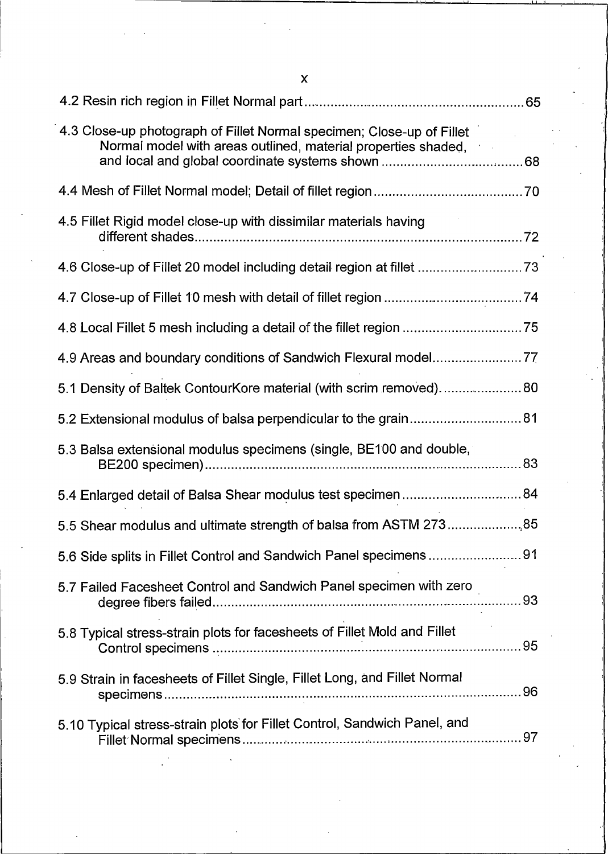| 4.3 Close-up photograph of Fillet Normal specimen; Close-up of Fillet<br>Normal model with areas outlined, material properties shaded, |  |
|----------------------------------------------------------------------------------------------------------------------------------------|--|
|                                                                                                                                        |  |
| 4.5 Fillet Rigid model close-up with dissimilar materials having                                                                       |  |
|                                                                                                                                        |  |
|                                                                                                                                        |  |
|                                                                                                                                        |  |
| 4.9 Areas and boundary conditions of Sandwich Flexural model,77                                                                        |  |
| 5.1 Density of Baltek ContourKore material (with scrim removed) 80                                                                     |  |
| 5.2 Extensional modulus of balsa perpendicular to the grain 81                                                                         |  |
| 5.3 Balsa extensional modulus specimens (single, BE100 and double,                                                                     |  |
|                                                                                                                                        |  |
| 5.5 Shear modulus and ultimate strength of balsa from ASTM 273 85                                                                      |  |
| 5.6 Side splits in Fillet Control and Sandwich Panel specimens91                                                                       |  |
| 5.7 Failed Facesheet Control and Sandwich Panel specimen with zero                                                                     |  |
| 5.8 Typical stress-strain plots for facesheets of Fillet Mold and Fillet                                                               |  |
| 5.9 Strain in facesheets of Fillet Single, Fillet Long, and Fillet Normal                                                              |  |
| 5.10 Typical stress-strain plots for Fillet Control, Sandwich Panel, and                                                               |  |

 $\mathsf{x}$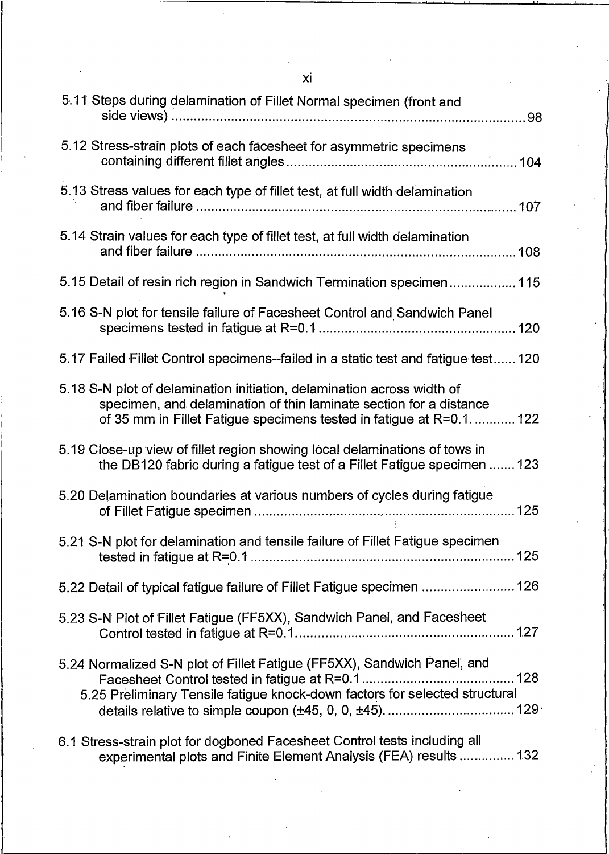| Хİ                                                                                                                                                                                                                  |
|---------------------------------------------------------------------------------------------------------------------------------------------------------------------------------------------------------------------|
| 5.11 Steps during delamination of Fillet Normal specimen (front and                                                                                                                                                 |
| 5.12 Stress-strain plots of each facesheet for asymmetric specimens                                                                                                                                                 |
| 5.13 Stress values for each type of fillet test, at full width delamination                                                                                                                                         |
| 5.14 Strain values for each type of fillet test, at full width delamination                                                                                                                                         |
| 5.15 Detail of resin rich region in Sandwich Termination specimen 115                                                                                                                                               |
| 5.16 S-N plot for tensile failure of Facesheet Control and Sandwich Panel                                                                                                                                           |
| 5.17 Failed Fillet Control specimens--failed in a static test and fatigue test 120                                                                                                                                  |
| 5.18 S-N plot of delamination initiation, delamination across width of<br>specimen, and delamination of thin laminate section for a distance<br>of 35 mm in Fillet Fatigue specimens tested in fatigue at R=0.1 122 |
| 5.19 Close-up view of fillet region showing local delaminations of tows in<br>the DB120 fabric during a fatigue test of a Fillet Fatigue specimen  123                                                              |
| 5.20 Delamination boundaries at various numbers of cycles during fatigue                                                                                                                                            |
| 5.21 S-N plot for delamination and tensile failure of Fillet Fatigue specimen                                                                                                                                       |
| 5.22 Detail of typical fatigue failure of Fillet Fatigue specimen  126                                                                                                                                              |
| 5.23 S-N Plot of Fillet Fatigue (FF5XX), Sandwich Panel, and Facesheet                                                                                                                                              |
| 5.24 Normalized S-N plot of Fillet Fatigue (FF5XX), Sandwich Panel, and<br>5.25 Preliminary Tensile fatigue knock-down factors for selected structural                                                              |
| 6.1 Stress-strain plot for dogboned Facesheet Control tests including all<br>experimental plots and Finite Element Analysis (FEA) results  132                                                                      |

 $\epsilon$ 

 $\sim$ 

 $\overline{\phantom{a}}$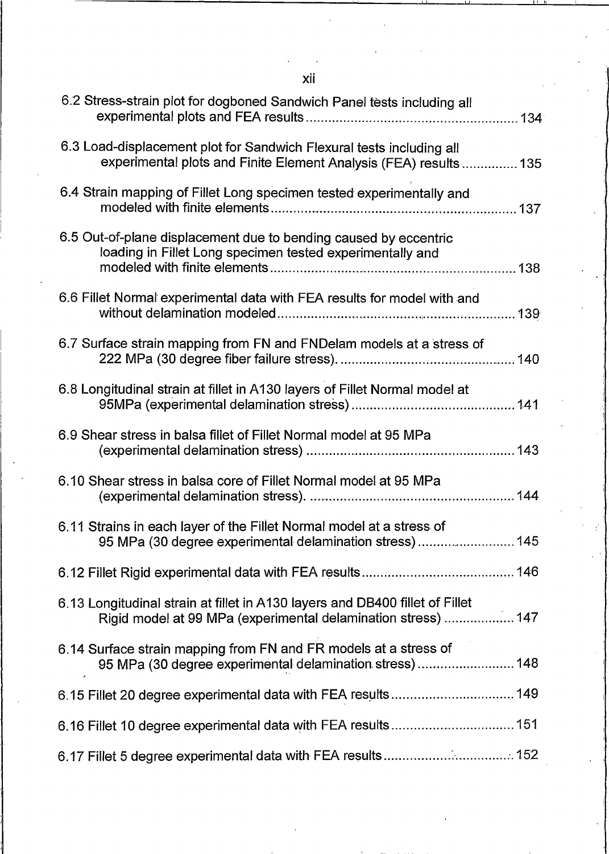xii

| 6.2 Stress-strain plot for dogboned Sandwich Panel tests including all                                                                        |
|-----------------------------------------------------------------------------------------------------------------------------------------------|
| 6.3 Load-displacement plot for Sandwich Flexural tests including all<br>experimental plots and Finite Element Analysis (FEA) results  135     |
| 6.4 Strain mapping of Fillet Long specimen tested experimentally and                                                                          |
| 6.5 Out-of-plane displacement due to bending caused by eccentric<br>loading in Fillet Long specimen tested experimentally and                 |
| 6.6 Fillet Normal experimental data with FEA results for model with and                                                                       |
| 6.7 Surface strain mapping from FN and FNDelam models at a stress of                                                                          |
| 6.8 Longitudinal strain at fillet in A130 layers of Fillet Normal model at                                                                    |
| 6.9 Shear stress in balsa fillet of Fillet Normal model at 95 MPa                                                                             |
| 6.10 Shear stress in balsa core of Fillet Normal model at 95 MPa                                                                              |
| 6.11 Strains in each layer of the Fillet Normal model at a stress of<br>95 MPa (30 degree experimental delamination stress) 145               |
|                                                                                                                                               |
| 6.13 Longitudinal strain at fillet in A130 layers and DB400 fillet of Fillet<br>Rigid model at 99 MPa (experimental delamination stress)  147 |
| 6.14 Surface strain mapping from FN and FR models at a stress of<br>95 MPa (30 degree experimental delamination stress)  148                  |
| 6.15 Fillet 20 degree experimental data with FEA results 149                                                                                  |
|                                                                                                                                               |
|                                                                                                                                               |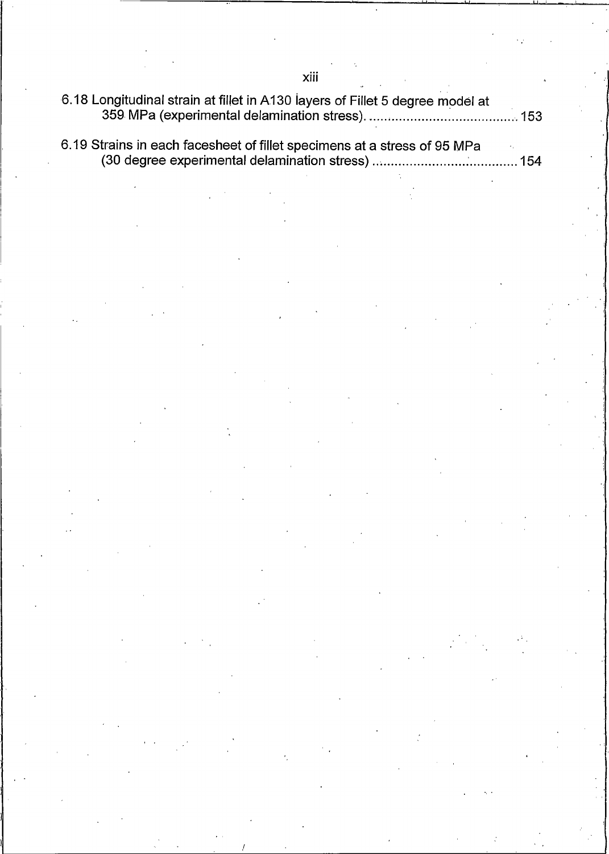6.18 Longitudinal strain at fillet in A130 layers of Fillet 5 degree model at 

6.19 Strains in each facesheet of fillet specimens at a stress of 95 MPa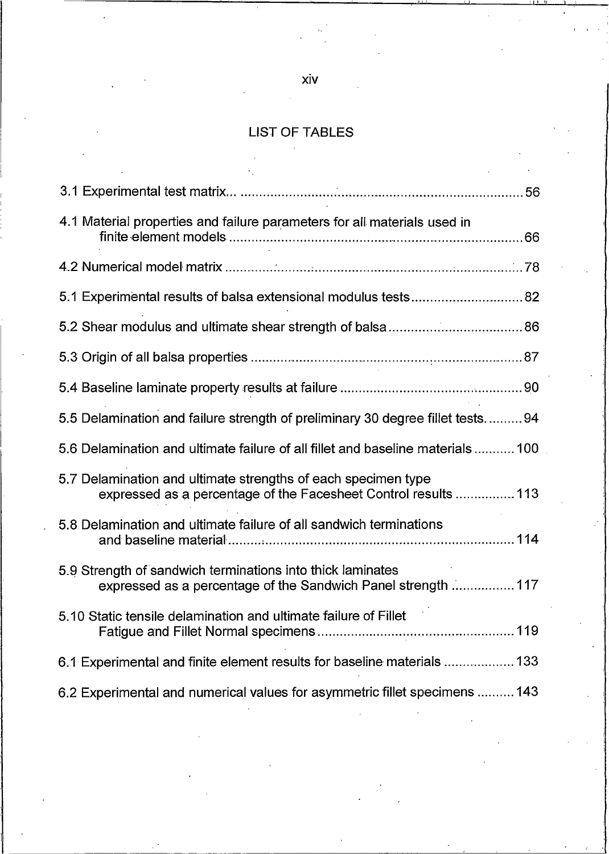### **LIST OF TABLES**

| 4.1 Material properties and failure parameters for all materials used in                                                         |
|----------------------------------------------------------------------------------------------------------------------------------|
|                                                                                                                                  |
|                                                                                                                                  |
|                                                                                                                                  |
|                                                                                                                                  |
|                                                                                                                                  |
| 5.5 Delamination and failure strength of preliminary 30 degree fillet tests94                                                    |
| 5.6 Delamination and ultimate failure of all fillet and baseline materials  100                                                  |
| 5.7 Delamination and ultimate strengths of each specimen type<br>expressed as a percentage of the Facesheet Control results  113 |
| 5.8 Delamination and ultimate failure of all sandwich terminations                                                               |
| 5.9 Strength of sandwich terminations into thick laminates<br>expressed as a percentage of the Sandwich Panel strength  117      |
| 5.10 Static tensile delamination and ultimate failure of Fillet                                                                  |
| 6.1 Experimental and finite element results for baseline materials  133                                                          |
| 6.2 Experimental and numerical values for asymmetric fillet specimens  143                                                       |

### xiv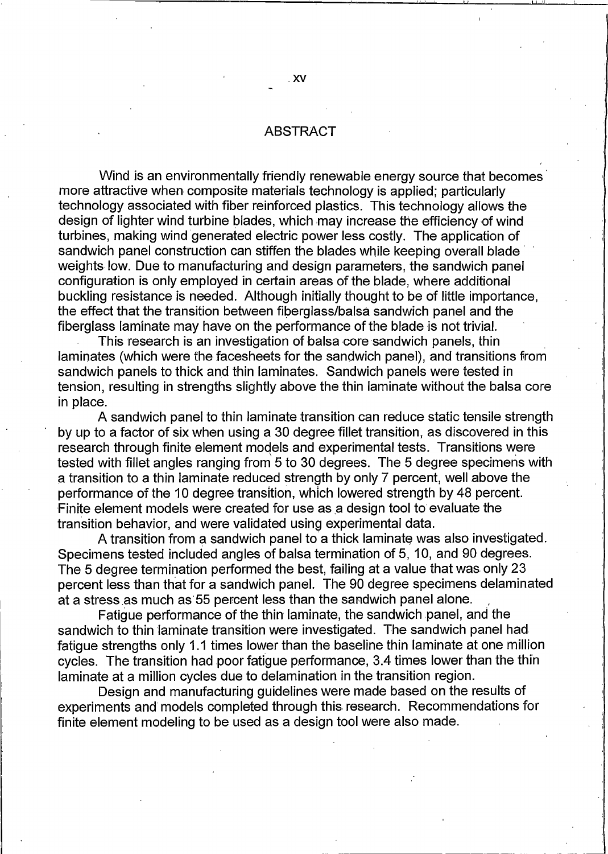### **ABSTRACT**

Wind is an environmentally friendly renewable energy source that becomes more attractive when composite materials technology is applied; particularly technology associated with fiber reinforced plastics. This technology allows the design of lighter wind turbine blades, which may increase the efficiency of wind turbines, making wind generated electric power less costly. The application of sandwich panel construction can stiffen the blades while keeping overall blade weights low. Due to manufacturing and design parameters, the sandwich panel configuration is only employed in certain areas of the blade, where additional buckling resistance is needed. Although initially thought to be of little importance, the effect that the transition between fiberglass/balsa sandwich panel and the fiberglass laminate may have on the performance of the blade is not trivial.

This research is an investigation of balsa core sandwich panels, thin laminates (which were the facesheets for the sandwich panel), and transitions from sandwich panels to thick and thin laminates. Sandwich panels were tested in tension, resulting in strengths slightly above the thin laminate without the balsa core in place.

A sandwich panel to thin laminate transition can reduce static tensile strength by up to a factor of six when using a 30 degree fillet transition, as discovered in this research through finite element models and experimental tests. Transitions were tested with fillet angles ranging from 5 to 30 degrees. The 5 degree specimens with a transition to a thin laminate reduced strength by only 7 percent, well above the performance of the 10 degree transition, which lowered strength by 48 percent. Finite element models were created for use as a design tool to evaluate the transition behavior, and were validated using experimental data.

A transition from a sandwich panel to a thick laminate was also investigated. Specimens tested included angles of balsa termination of 5, 10, and 90 degrees. The 5 degree termination performed the best, failing at a value that was only 23 percent less than that for a sandwich panel. The 90 degree specimens delaminated at a stress as much as 55 percent less than the sandwich panel alone.

Fatique performance of the thin laminate, the sandwich panel, and the sandwich to thin laminate transition were investigated. The sandwich panel had fatique strengths only 1.1 times lower than the baseline thin laminate at one million cycles. The transition had poor fatigue performance, 3.4 times lower than the thin laminate at a million cycles due to delamination in the transition region.

Design and manufacturing guidelines were made based on the results of experiments and models completed through this research. Recommendations for finite element modeling to be used as a design tool were also made.

. XV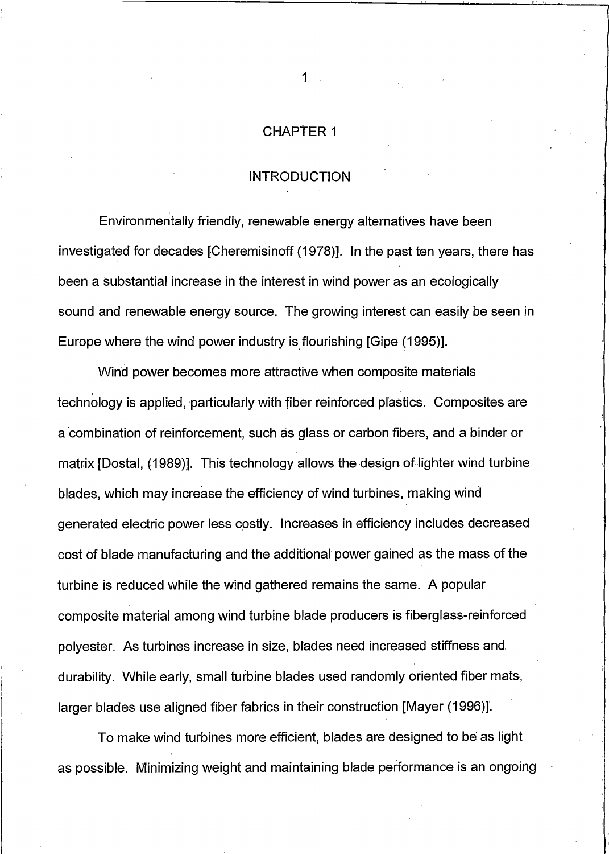#### **CHAPTER 1**

### **INTRODUCTION**

Environmentally friendly, renewable energy alternatives have been investigated for decades [Cheremisinoff (1978)]. In the past ten years, there has been a substantial increase in the interest in wind power as an ecologically sound and renewable energy source. The growing interest can easily be seen in Europe where the wind power industry is flourishing [Gipe (1995)].

Wind power becomes more attractive when composite materials technology is applied, particularly with fiber reinforced plastics. Composites are a combination of reinforcement, such as glass or carbon fibers, and a binder or matrix [Dostal, (1989)]. This technology allows the design of lighter wind turbine blades, which may increase the efficiency of wind turbines, making wind generated electric power less costly. Increases in efficiency includes decreased cost of blade manufacturing and the additional power gained as the mass of the turbine is reduced while the wind gathered remains the same. A popular composite material among wind turbine blade producers is fiberglass-reinforced polyester. As turbines increase in size, blades need increased stiffness and durability. While early, small turbine blades used randomly oriented fiber mats, larger blades use aligned fiber fabrics in their construction [Mayer (1996)].

To make wind turbines more efficient, blades are designed to be as light as possible. Minimizing weight and maintaining blade performance is an ongoing

 $\mathbf{1}$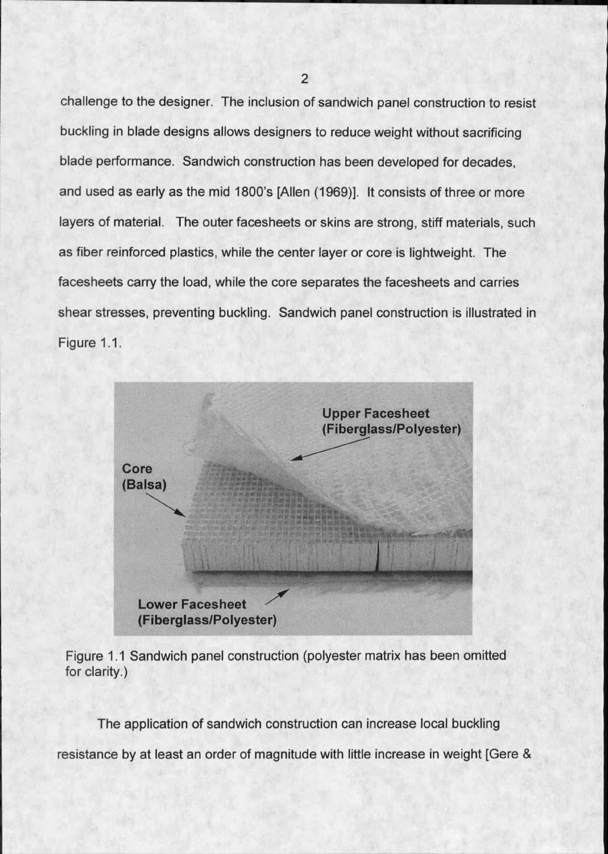challenge to the designer. The inclusion of sandwich panel construction to resist buckling in blade designs allows designers to reduce weight without sacrificing blade performance. Sandwich construction has been developed for decades, and used as early as the mid 1800's [Allen (1969)]. It consists of three or more layers of material. The outer facesheets or skins are strong, stiff materials, such as fiber reinforced plastics, while the center layer or core is lightweight. The facesheets carry the load, while the core separates the facesheets and carries shear stresses, preventing buckling. Sandwich panel construction is illustrated in Figure 1.1.



Figure 1.1 Sandwich panel construction (polyester matrix has been omitted for clarity.)

The application of sandwich construction can increase local buckling

resistance by at least an order of magnitude with little increase in weight [Gere &

 $\overline{2}$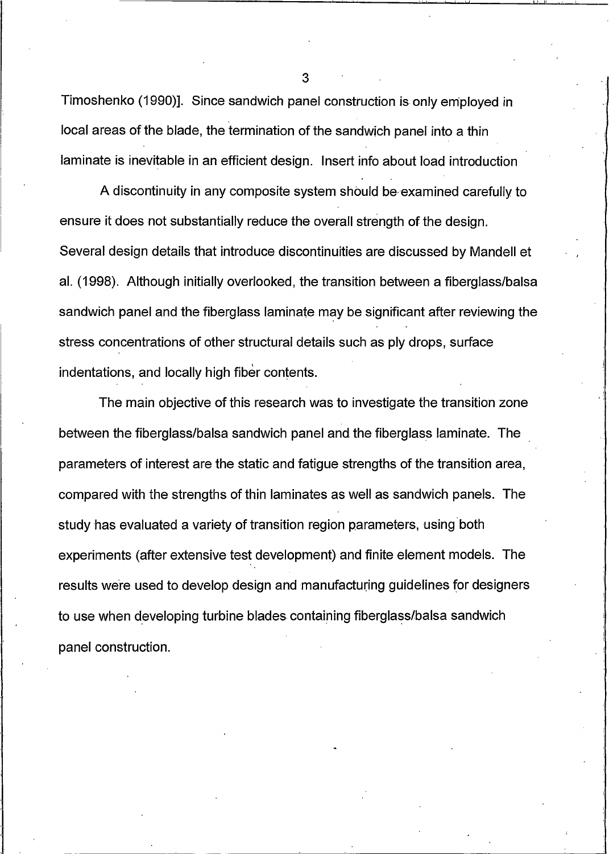Timoshenko (1990)]. Since sandwich panel construction is only employed in local areas of the blade, the termination of the sandwich panel into a thin laminate is inevitable in an efficient design. Insert info about load introduction

A discontinuity in any composite system should be examined carefully to ensure it does not substantially reduce the overall strength of the design. Several design details that introduce discontinuities are discussed by Mandell et al. (1998). Although initially overlooked, the transition between a fiberglass/balsa sandwich panel and the fiberglass laminate may be significant after reviewing the stress concentrations of other structural details such as ply drops, surface indentations, and locally high fiber contents.

The main objective of this research was to investigate the transition zone between the fiberglass/balsa sandwich panel and the fiberglass laminate. The parameters of interest are the static and fatigue strengths of the transition area, compared with the strengths of thin laminates as well as sandwich panels. The study has evaluated a variety of transition region parameters, using both experiments (after extensive test development) and finite element models. The results were used to develop design and manufacturing guidelines for designers to use when developing turbine blades containing fiberglass/balsa sandwich panel construction.

3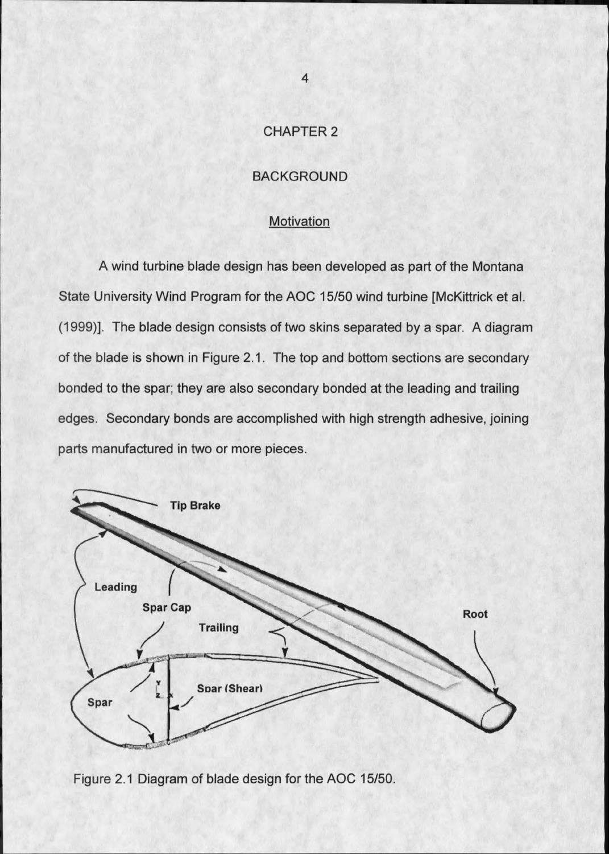### **CHAPTER 2**

### **BACKGROUND**

#### **Motivation**

A wind turbine blade design has been developed as part of the Montana State University Wind Program for the AOC 15/50 wind turbine [McKittrick et al. (1999)]. The blade design consists of two skins separated by a spar. A diagram of the blade is shown in Figure 2.1. The top and bottom sections are secondary bonded to the spar; they are also secondary bonded at the leading and trailing edges. Secondary bonds are accomplished with high strength adhesive, joining parts manufactured in two or more pieces.



Figure 2.1 Diagram of blade design for the AOC 15/50.